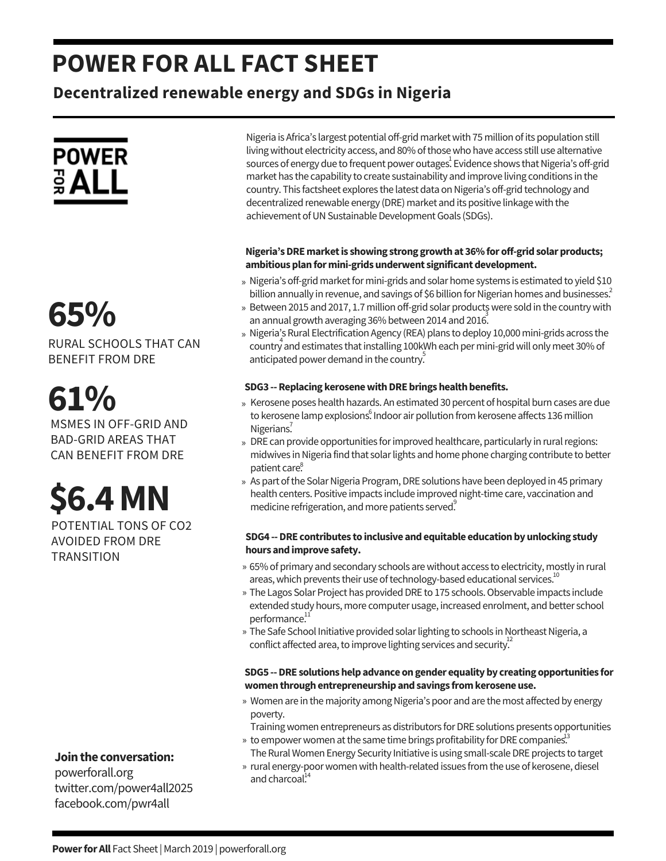### **POWER FOR ALL FACT SHEET**

### **Decentralized renewable energy and SDGs in Nigeria**



## » **65%**

RURAL SCHOOLS THAT CAN BENEFIT FROM DRE

## **61%**

MSMES IN OFF-GRID AND BAD-GRID AREAS THAT CAN BENEFIT FROM DRE

# **\$6.4MN**

POTENTIAL TONS OF CO2 AVOIDED FROM DRE **TRANSITION** 

### **Jointhe conversation:**

powerforall.org twitter.com/power4all2025 facebook.com/pwr4all

Nigeria is Africa's largest potential off-grid market with 75 million of its population still living without electricity access, and 80% of those who have access still use alternative sources of energy due to frequent power outages. Evidence shows that Nigeria's off-grid market has the capability to create sustainability and improve living conditions in the country. This factsheet explores the latest data on Nigeria's off-grid technology and decentralized renewable energy (DRE) market and its positive linkage with the achievement of UN Sustainable Development Goals (SDGs).

### **Nigeria'sDREmarketis showing strong growthat 36%foroff-gridsolarproducts;** ambitious plan for mini-grids underwent significant development.

- » Nigeria's off-grid market for mini-grids and solar home systems is estimated to yield \$10 billion annually in revenue, and savings of \$6 billion for Nigerian homes and businesses. $^2$
- » Between 2015 and 2017, 1.7 million off-grid solar productş were sold in the country with an annual growth averaging 36% between 2014 and 2016.
- » Nigeria's Rural Electrification Agency (REA) plans to deploy 10,000 mini-grids across the country and estimates that installing 100kWh each per mini-grid will only meet 30% of anticipated power demand in the country.

### **SDG3** -- Replacing kerosene with DRE brings health benefits.

- » Kerosene poses health hazards. An estimated 30 percent of hospital burn cases are due to kerosene lamp explosions. Indoor air pollution from kerosene affects 136 million Nigerians.<sup>7</sup>
- » DRE can provide opportunities for improved healthcare, particularly in rural regions: midwives in Nigeria find that solar lights and home phone charging contribute to better patient care. 8
- » As part of the Solar Nigeria Program, DRE solutions have been deployed in 45 primary health centers. Positive impacts include improved night-time care, vaccination and medicine refrigeration, and more patients served.

### **SDG4 --DRE contributes toinclusive andequitable educationbyunlocking study hours andimprove safety.**

- » 65% of primary and secondary schools are without access to electricity, mostly in rural areas, which prevents their use of technology-based educational services. $^{10}$
- » The Lagos Solar Project has provided DRE to 175 schools. Observable impacts include extended study hours, more computer usage, increased enrolment, and better school performance.<sup>11</sup>
- » The Safe School Initiative provided solar lighting to schools in Northeast Nigeria, a conflict affected area, to improve lighting services and security.<sup>12</sup>

### **SDG5 --DRE solutionshelpadvanceongender equalityby creatingopportunities for womenthroughentrepreneurshipandsavings fromkeroseneuse.**

- » Women are in the majority among Nigeria's poor and are the most affected by energy poverty.
- Training women entrepreneurs as distributors for DRE solutions presents opportunities
- » to empower women at the same time brings profitability for DRE companies.<sup>13</sup> The Rural Women Energy Security Initiative is using small-scale DRE projects to target
- » rural energy-poor women with health-related issues from the use of kerosene, diesel and charcoal.<sup>14</sup>